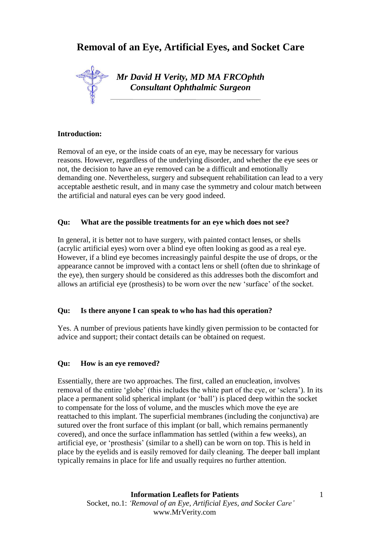# **Removal of an Eye, Artificial Eyes, and Socket Care**



#### **Introduction:**

Removal of an eye, or the inside coats of an eye, may be necessary for various reasons. However, regardless of the underlying disorder, and whether the eye sees or not, the decision to have an eye removed can be a difficult and emotionally demanding one. Nevertheless, surgery and subsequent rehabilitation can lead to a very acceptable aesthetic result, and in many case the symmetry and colour match between the artificial and natural eyes can be very good indeed.

## **Qu: What are the possible treatments for an eye which does not see?**

In general, it is better not to have surgery, with painted contact lenses, or shells (acrylic artificial eyes) worn over a blind eye often looking as good as a real eye. However, if a blind eye becomes increasingly painful despite the use of drops, or the appearance cannot be improved with a contact lens or shell (often due to shrinkage of the eye), then surgery should be considered as this addresses both the discomfort and allows an artificial eye (prosthesis) to be worn over the new 'surface' of the socket.

## **Qu: Is there anyone I can speak to who has had this operation?**

Yes. A number of previous patients have kindly given permission to be contacted for advice and support; their contact details can be obtained on request.

## **Qu: How is an eye removed?**

Essentially, there are two approaches. The first, called an enucleation, involves removal of the entire 'globe' (this includes the white part of the eye, or 'sclera'). In its place a permanent solid spherical implant (or 'ball') is placed deep within the socket to compensate for the loss of volume, and the muscles which move the eye are reattached to this implant. The superficial membranes (including the conjunctiva) are sutured over the front surface of this implant (or ball, which remains permanently covered), and once the surface inflammation has settled (within a few weeks), an artificial eye, or 'prosthesis' (similar to a shell) can be worn on top. This is held in place by the eyelids and is easily removed for daily cleaning. The deeper ball implant typically remains in place for life and usually requires no further attention.

1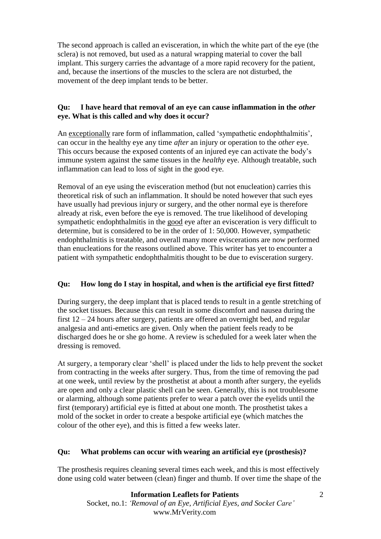The second approach is called an evisceration, in which the white part of the eye (the sclera) is not removed, but used as a natural wrapping material to cover the ball implant. This surgery carries the advantage of a more rapid recovery for the patient, and, because the insertions of the muscles to the sclera are not disturbed, the movement of the deep implant tends to be better.

## **Qu: I have heard that removal of an eye can cause inflammation in the** *other* **eye. What is this called and why does it occur?**

An exceptionally rare form of inflammation, called 'sympathetic endophthalmitis', can occur in the healthy eye any time *after* an injury or operation to the *other* eye. This occurs because the exposed contents of an injured eye can activate the body's immune system against the same tissues in the *healthy* eye. Although treatable, such inflammation can lead to loss of sight in the good eye.

Removal of an eye using the evisceration method (but not enucleation) carries this theoretical risk of such an inflammation. It should be noted however that such eyes have usually had previous injury or surgery, and the other normal eye is therefore already at risk, even before the eye is removed. The true likelihood of developing sympathetic endophthalmitis in the good eye after an evisceration is very difficult to determine, but is considered to be in the order of 1: 50,000. However, sympathetic endophthalmitis is treatable, and overall many more eviscerations are now performed than enucleations for the reasons outlined above. This writer has yet to encounter a patient with sympathetic endophthalmitis thought to be due to evisceration surgery.

## **Qu: How long do I stay in hospital, and when is the artificial eye first fitted?**

During surgery, the deep implant that is placed tends to result in a gentle stretching of the socket tissues. Because this can result in some discomfort and nausea during the first 12 – 24 hours after surgery, patients are offered an overnight bed, and regular analgesia and anti-emetics are given. Only when the patient feels ready to be discharged does he or she go home. A review is scheduled for a week later when the dressing is removed.

At surgery, a temporary clear 'shell' is placed under the lids to help prevent the socket from contracting in the weeks after surgery. Thus, from the time of removing the pad at one week, until review by the prosthetist at about a month after surgery, the eyelids are open and only a clear plastic shell can be seen. Generally, this is not troublesome or alarming, although some patients prefer to wear a patch over the eyelids until the first (temporary) artificial eye is fitted at about one month. The prosthetist takes a mold of the socket in order to create a bespoke artificial eye (which matches the colour of the other eye), and this is fitted a few weeks later.

## **Qu: What problems can occur with wearing an artificial eye (prosthesis)?**

The prosthesis requires cleaning several times each week, and this is most effectively done using cold water between (clean) finger and thumb. If over time the shape of the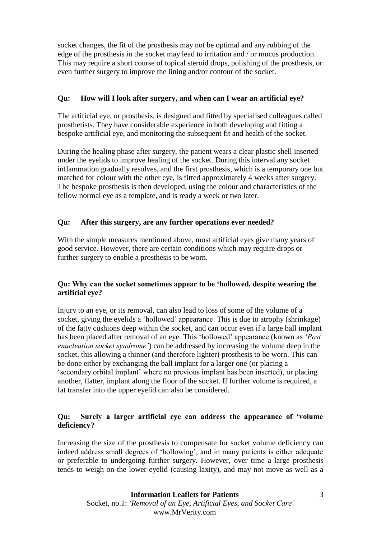socket changes, the fit of the prosthesis may not be optimal and any rubbing of the edge of the prosthesis in the socket may lead to irritation and / or mucus production. This may require a short course of topical steroid drops, polishing of the prosthesis, or even further surgery to improve the lining and/or contour of the socket.

## **Qu: How will I look after surgery, and when can I wear an artificial eye?**

The artificial eye, or prosthesis, is designed and fitted by specialised colleagues called prosthetists. They have considerable experience in both developing and fitting a bespoke artificial eye, and monitoring the subsequent fit and health of the socket.

During the healing phase after surgery, the patient wears a clear plastic shell inserted under the eyelids to improve healing of the socket. During this interval any socket inflammation gradually resolves, and the first prosthesis, which is a temporary one but matched for colour with the other eye, is fitted approximately 4 weeks after surgery. The bespoke prosthesis is then developed, using the colour and characteristics of the fellow normal eye as a template, and is ready a week or two later.

## **Qu: After this surgery, are any further operations ever needed?**

With the simple measures mentioned above, most artificial eyes give many years of good service. However, there are certain conditions which may require drops or further surgery to enable a prosthesis to be worn.

## **Qu: Why can the socket sometimes appear to be 'hollowed, despite wearing the artificial eye?**

Injury to an eye, or its removal, can also lead to loss of some of the volume of a socket, giving the eyelids a 'hollowed' appearance. This is due to atrophy (shrinkage) of the fatty cushions deep within the socket, and can occur even if a large ball implant has been placed after removal of an eye. This 'hollowed' appearance (known as *'Post enucleation socket syndrome'*) can be addressed by increasing the volume deep in the socket, this allowing a thinner (and therefore lighter) prosthesis to be worn. This can be done either by exchanging the ball implant for a larger one (or placing a 'secondary orbital implant' where no previous implant has been inserted), or placing another, flatter, implant along the floor of the socket. If further volume is required, a fat transfer into the upper eyelid can also be considered.

## **Qu: Surely a larger artificial eye can address the appearance of 'volume deficiency?**

Increasing the size of the prosthesis to compensate for socket volume deficiency can indeed address small degrees of 'hollowing', and in many patients is either adequate or preferable to undergoing further surgery. However, over time a large prosthesis tends to weigh on the lower eyelid (causing laxity), and may not move as well as a